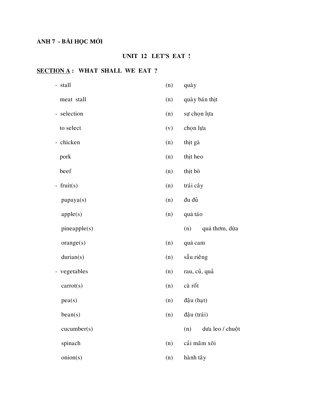# ANH 7 - BÀI HỌC MỚI

## UNIT 12 LET'S EAT !

## **SECTION A: WHAT SHALL WE EAT?**

| - stall      | (n) | quày                   |
|--------------|-----|------------------------|
| meat stall   | (n) | quày bán thịt          |
| - selection  | (n) | sự chọn lựa            |
| to select    | (v) | chọn lựa               |
| - chicken    | (n) | thịt gà                |
| pork         | (n) | thit heo               |
| beef         | (n) | thịt bò                |
| - fruit(s)   | (n) | trái cây               |
| papaya(s)    | (n) | đu đủ                  |
| apple(s)     | (n) | quả táo                |
| pineapple(s) |     | (n)<br>quả thơm, dứa   |
| orange(s)    | (n) | quả cam                |
| durian(s)    | (n) | sầu riêng              |
| - vegetables | (n) | rau, củ, quả           |
| carrot(s)    | (n) | cà rốt                 |
| pea(s)       | (n) | đậu (hạt)              |
| bean(s)      | (n) | đậu (trái)             |
| cucumber(s)  |     | dưa leo / chuột<br>(n) |
| spinach      | (n) | cải mâm xôi            |
|              |     |                        |
| onion(s)     | (n) | hành tây               |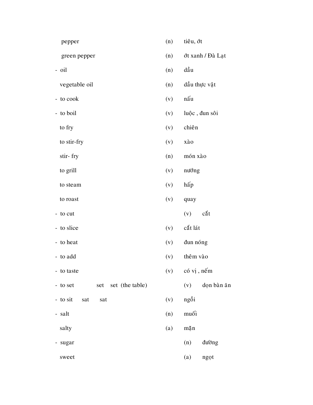| pepper                             | (n) | tiêu, ớt                                     |
|------------------------------------|-----|----------------------------------------------|
| green pepper                       | (n) | ớt xanh / Đà Lạt                             |
| - oil                              | (n) | dầu                                          |
| vegetable oil                      | (n) | dầu thực vật                                 |
| - to cook                          | (v) | nấu                                          |
| - to boil                          | (v) | luộc, đun sôi                                |
| to fry                             | (v) | chiên                                        |
| to stir-fry                        | (v) | xào                                          |
| stir-fry                           | (n) | món xào                                      |
| to grill                           | (v) | nướng                                        |
| to steam                           | (v) | hấp                                          |
| to roast                           | (v) | quay                                         |
| - to cut                           |     | cắt<br>(v)                                   |
| - to slice                         | (v) | cắt lát                                      |
| - to heat                          | (v) | đun nóng                                     |
| - to add                           | (v) | thêm vào                                     |
| - to taste                         | (v) | có vị, nếm                                   |
| set (the table)<br>- to set<br>set |     | $\text{d}{\text{o}}{\text{n}}$ bàn ăn<br>(v) |
| - to sit<br>sat<br>sat             | (v) | ngồi                                         |
| - salt                             | (n) | muối                                         |
| salty                              | (a) | mặn                                          |
| sugar                              |     | đường<br>(n)                                 |
| sweet                              |     | (a)<br>ngọt                                  |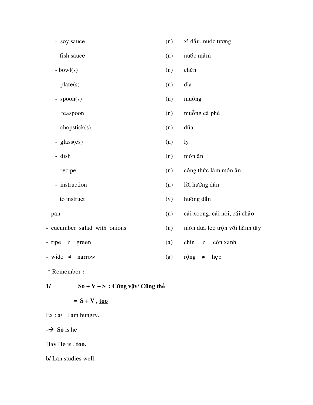| - soy sauce                     | (n) | xì dầu, nước tương            |
|---------------------------------|-----|-------------------------------|
| fish sauce                      | (n) | nước mắm                      |
| $-bowl(s)$                      | (n) | chén                          |
| - $plate(s)$                    | (n) | dĩa                           |
| - $spoon(s)$                    | (n) | muỗng                         |
| teaspoon                        | (n) | muỗng cà phê                  |
| - chopstick(s)                  | (n) | đũa                           |
| - glass(es)                     | (n) | ly                            |
| - dish                          | (n) | món ăn                        |
| - recipe                        | (n) | công thức làm món ăn          |
| - instruction                   | (n) | lời hướng dẫn                 |
| to instruct                     | (v) | hướng dẫn                     |
| - pan                           | (n) | cái xoong, cái nồi, cái chảo  |
| - cucumber salad with onions    | (n) | món dưa leo trộn với hành tây |
| - ripe<br>green<br>$\pmb{\neq}$ | (a) | chín<br>còn xanh<br>$\neq$    |
| - wide<br>$\neq$<br>narrow      | (a) | rộng<br>hep<br>≠              |
|                                 |     |                               |

**\*** Remember **:**

**1/ So + V + S : Cũng vậy/ Cũng thế** 

## $= S + V$ , <u>too</u>

Ex : a/ I am hungry.

 $\rightarrow$  **So** is he

Hay He is , **too.**

b/ Lan studies well.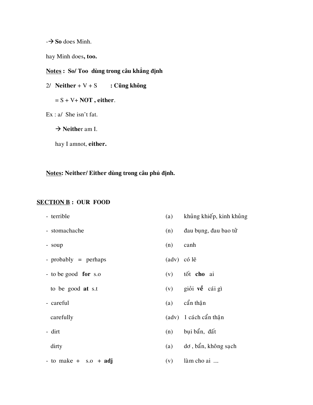- **So** does Minh.

hay Minh does**, too.**

## **Notes : So/ Too dùng trong câu khẳng định**

2/ **Neither** +  $V$  + S **: Cũng không** 

= S + V+ **NOT , either**.

Ex : a/ She isn't fat.

→ **Neither** am I.

hay I amnot, **either.**

**Notes: Neither/ Either dùng trong câu phủ định.**

#### **SECTION B : OUR FOOD**

- 
- 
- 
- $-$  probably = perhaps (adv) có l $\tilde{e}$
- to be good **for** s.o (v) toát **cho** ai
	-
- 

 $-$  to make  $+$  s.o  $+$  **adj** (v) làm cho ai ....

- terrible (a) khung khiếp, kinh khung
- stomachache (n) đau bung, đau bao tử
- soup (n) canh
	-
	-
	- to be good **at** s.t (v) giồi **về** cái gì
- $-\text{careful}$  (a)  $\hat{\text{can}}$  thân
	- carefully (adv) 1 cách cẩn thận
- $-$  dirt (n) bui ba $\hat{a}$ n, đất
	- $\frac{divty}{dx}$  (a) do,  $b\hat{a}n$ , không sach
		-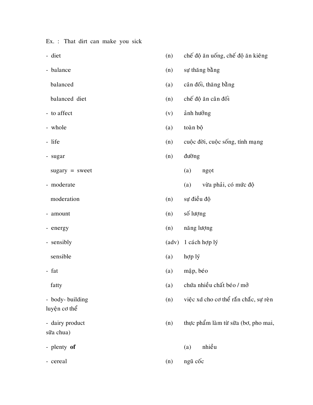Ex. : That dirt can make you sick

- 
- 
- 
- 
- 
- 
- 

 $sugary = sweet$  (a) ngot

- 
- 
- 
- 
- 

luyện cơ thể

sữa chua)

- diet (n) chế độ ăn uống, chế độ ăn kiêng
- balance (n) sự thăng bằng
	- balanced (a) cân đối, thăng bằng
	- balanced diet (n) chế độ ăn cân đối
- to affect (v) anh hưởng
- whole (a) toàn bộ
- life (n) cuộc đời, cuộc sống, tính mạng
- sugar (n) đường
	-
- moderate (a) vừa phải, có mức độ
	- moderation (n) sư điều độ
- amount (n) số lượng
- energy (n) năng lượng
- sensibly (adv) 1 cách hợp lý
	- sensible (a) hợp lý
- fat (a) mập, béo
	- fatty (a) chứa nhiều chất béo / mở
- body- building (n) việc xd cho cơ thể rắn chắc, sự rèn
- dairy product (n) thực phẩm làm từ sữa (bơ, pho mai,
- plenty **of** (a) nhieàu
- cereal (n) ngũ cốc